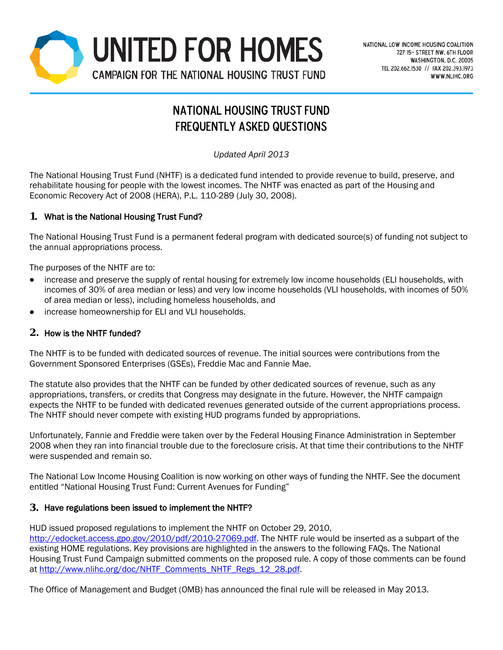

# National Housing Trust Fund Frequently Asked Questions

*Updated April 2013*

The National Housing Trust Fund (NHTF) is a dedicated fund intended to provide revenue to build, preserve, and rehabilitate housing for people with the lowest incomes. The NHTF was enacted as part of the Housing and Economic Recovery Act of 2008 (HERA), P.L. 110-289 (July 30, 2008).

## **1.** What is the National Housing Trust Fund?

The National Housing Trust Fund is a permanent federal program with dedicated source(s) of funding not subject to the annual appropriations process.

The purposes of the NHTF are to:

- increase and preserve the supply of rental housing for extremely low income households (ELI households, with incomes of 30% of area median or less) and very low income households (VLI households, with incomes of 50% of area median or less), including homeless households, and
- increase homeownership for ELI and VLI households.

## **2.** How is the NHTF funded?

The NHTF is to be funded with dedicated sources of revenue. The initial sources were contributions from the Government Sponsored Enterprises (GSEs), Freddie Mac and Fannie Mae.

The statute also provides that the NHTF can be funded by other dedicated sources of revenue, such as any appropriations, transfers, or credits that Congress may designate in the future. However, the NHTF campaign expects the NHTF to be funded with dedicated revenues generated outside of the current appropriations process. The NHTF should never compete with existing HUD programs funded by appropriations.

Unfortunately, Fannie and Freddie were taken over by the Federal Housing Finance Administration in September 2008 when they ran into financial trouble due to the foreclosure crisis. At that time their contributions to the NHTF were suspended and remain so.

The National Low Income Housing Coalition is now working on other ways of funding the NHTF. See the document entitled "National Housing Trust Fund: Current Avenues for Funding"

## **3.** Have regulations been issued to implement the NHTF?

HUD issued proposed regulations to implement the NHTF on October 29, 2010, [http://edocket.access.gpo.gov/2010/pdf/2010-27069.pdf.](http://edocket.access.gpo.gov/2010/pdf/2010-27069.pdf) The NHTF rule would be inserted as a subpart of the existing HOME regulations. Key provisions are highlighted in the answers to the following FAQs. The National Housing Trust Fund Campaign submitted comments on the proposed rule. A copy of those comments can be found at [http://www.nlihc.org/doc/NHTF\\_Comments\\_NHTF\\_Regs\\_12\\_28.pdf.](http://www.nlihc.org/doc/NHTF_Comments_NHTF_Regs_12_28.pdf)

The Office of Management and Budget (OMB) has announced the final rule will be released in May 2013.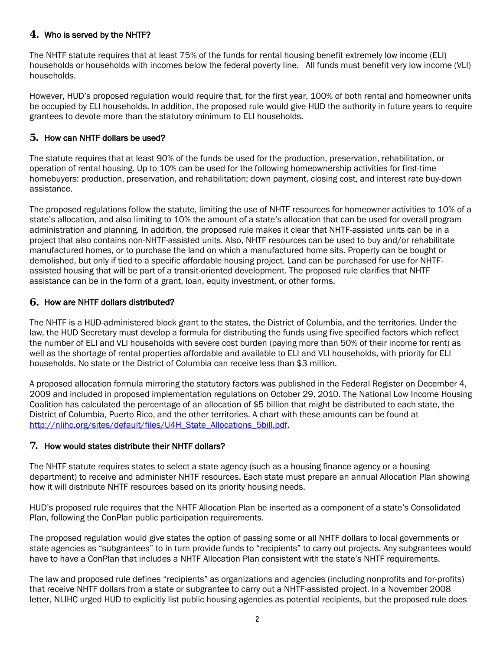## **4.** Who is served by the NHTF?

The NHTF statute requires that at least 75% of the funds for rental housing benefit extremely low income (ELI) households or households with incomes below the federal poverty line. All funds must benefit very low income (VLI) households.

However, HUD's proposed regulation would require that, for the first year, 100% of both rental and homeowner units be occupied by ELI households. In addition, the proposed rule would give HUD the authority in future years to require grantees to devote more than the statutory minimum to ELI households.

## **5.** How can NHTF dollars be used?

The statute requires that at least 90% of the funds be used for the production, preservation, rehabilitation, or operation of rental housing. Up to 10% can be used for the following homeownership activities for first-time homebuyers: production, preservation, and rehabilitation; down payment, closing cost, and interest rate buy-down assistance.

The proposed regulations follow the statute, limiting the use of NHTF resources for homeowner activities to 10% of a state's allocation, and also limiting to 10% the amount of a state's allocation that can be used for overall program administration and planning. In addition, the proposed rule makes it clear that NHTF-assisted units can be in a project that also contains non-NHTF-assisted units. Also, NHTF resources can be used to buy and/or rehabilitate manufactured homes, or to purchase the land on which a manufactured home sits. Property can be bought or demolished, but only if tied to a specific affordable housing project. Land can be purchased for use for NHTFassisted housing that will be part of a transit-oriented development. The proposed rule clarifies that NHTF assistance can be in the form of a grant, loan, equity investment, or other forms.

#### **6.** How are NHTF dollars distributed?

The NHTF is a HUD-administered block grant to the states, the District of Columbia, and the territories. Under the law, the HUD Secretary must develop a formula for distributing the funds using five specified factors which reflect the number of ELI and VLI households with severe cost burden (paying more than 50% of their income for rent) as well as the shortage of rental properties affordable and available to ELI and VLI households, with priority for ELI households. No state or the District of Columbia can receive less than \$3 million.

A proposed allocation formula mirroring the statutory factors was published in the Federal Register on December 4, 2009 and included in proposed implementation regulations on October 29, 2010. The National Low Income Housing Coalition has calculated the percentage of an allocation of \$5 billion that might be distributed to each state, the District of Columbia, Puerto Rico, and the other territories. A chart with these amounts can be found at [http://nlihc.org/sites/default/files/U4H\\_State\\_Allocations\\_5bill.pdf.](http://nlihc.org/sites/default/files/U4H_State_Allocations_5bill.pdf)

#### **7.** How would states distribute their NHTF dollars?

The NHTF statute requires states to select a state agency (such as a housing finance agency or a housing department) to receive and administer NHTF resources. Each state must prepare an annual Allocation Plan showing how it will distribute NHTF resources based on its priority housing needs.

HUD's proposed rule requires that the NHTF Allocation Plan be inserted as a component of a state's Consolidated Plan, following the ConPlan public participation requirements.

The proposed regulation would give states the option of passing some or all NHTF dollars to local governments or state agencies as "subgrantees" to in turn provide funds to "recipients" to carry out projects. Any subgrantees would have to have a ConPlan that includes a NHTF Allocation Plan consistent with the state's NHTF requirements.

The law and proposed rule defines "recipients" as organizations and agencies (including nonprofits and for-profits) that receive NHTF dollars from a state or subgrantee to carry out a NHTF-assisted project. In a November 2008 letter, NLIHC urged HUD to explicitly list public housing agencies as potential recipients, but the proposed rule does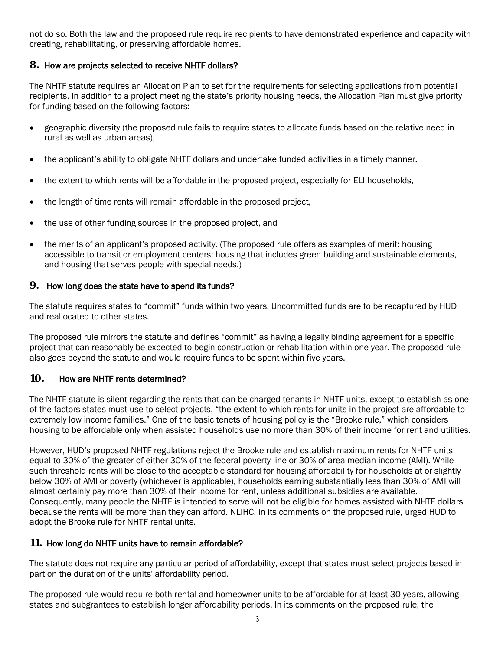not do so. Both the law and the proposed rule require recipients to have demonstrated experience and capacity with creating, rehabilitating, or preserving affordable homes.

## **8.** How are projects selected to receive NHTF dollars?

The NHTF statute requires an Allocation Plan to set for the requirements for selecting applications from potential recipients. In addition to a project meeting the state's priority housing needs, the Allocation Plan must give priority for funding based on the following factors:

- geographic diversity (the proposed rule fails to require states to allocate funds based on the relative need in rural as well as urban areas),
- the applicant's ability to obligate NHTF dollars and undertake funded activities in a timely manner,
- the extent to which rents will be affordable in the proposed project, especially for ELI households,
- the length of time rents will remain affordable in the proposed project,
- the use of other funding sources in the proposed project, and
- the merits of an applicant's proposed activity. (The proposed rule offers as examples of merit: housing accessible to transit or employment centers; housing that includes green building and sustainable elements, and housing that serves people with special needs.)

## **9.** How long does the state have to spend its funds?

The statute requires states to "commit" funds within two years. Uncommitted funds are to be recaptured by HUD and reallocated to other states.

The proposed rule mirrors the statute and defines "commit" as having a legally binding agreement for a specific project that can reasonably be expected to begin construction or rehabilitation within one year. The proposed rule also goes beyond the statute and would require funds to be spent within five years.

# **10.** How are NHTF rents determined?

The NHTF statute is silent regarding the rents that can be charged tenants in NHTF units, except to establish as one of the factors states must use to select projects, "the extent to which rents for units in the project are affordable to extremely low income families." One of the basic tenets of housing policy is the "Brooke rule," which considers housing to be affordable only when assisted households use no more than 30% of their income for rent and utilities.

However, HUD's proposed NHTF regulations reject the Brooke rule and establish maximum rents for NHTF units equal to 30% of the greater of either 30% of the federal poverty line or 30% of area median income (AMI). While such threshold rents will be close to the acceptable standard for housing affordability for households at or slightly below 30% of AMI or poverty (whichever is applicable), households earning substantially less than 30% of AMI will almost certainly pay more than 30% of their income for rent, unless additional subsidies are available. Consequently, many people the NHTF is intended to serve will not be eligible for homes assisted with NHTF dollars because the rents will be more than they can afford. NLIHC, in its comments on the proposed rule, urged HUD to adopt the Brooke rule for NHTF rental units.

# **11.** How long do NHTF units have to remain affordable?

The statute does not require any particular period of affordability, except that states must select projects based in part on the duration of the units' affordability period.

The proposed rule would require both rental and homeowner units to be affordable for at least 30 years, allowing states and subgrantees to establish longer affordability periods. In its comments on the proposed rule, the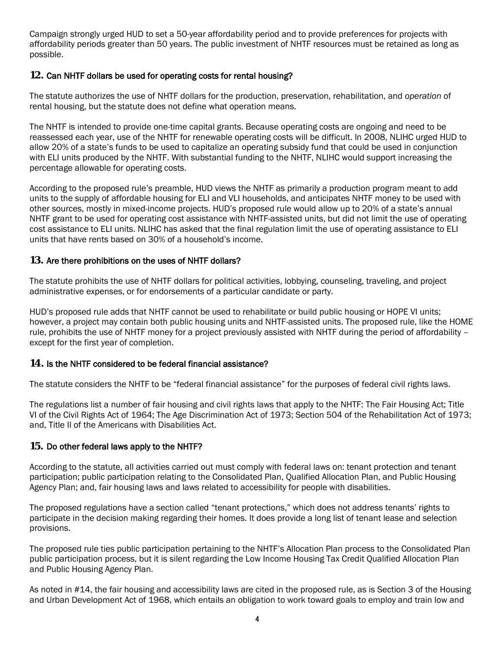Campaign strongly urged HUD to set a 50-year affordability period and to provide preferences for projects with affordability periods greater than 50 years. The public investment of NHTF resources must be retained as long as possible.

## **12.** Can NHTF dollars be used for operating costs for rental housing?

The statute authorizes the use of NHTF dollars for the production, preservation, rehabilitation, and *operation* of rental housing, but the statute does not define what operation means.

The NHTF is intended to provide one-time capital grants. Because operating costs are ongoing and need to be reassessed each year, use of the NHTF for renewable operating costs will be difficult. In 2008, NLIHC urged HUD to allow 20% of a state's funds to be used to capitalize an operating subsidy fund that could be used in conjunction with ELI units produced by the NHTF. With substantial funding to the NHTF, NLIHC would support increasing the percentage allowable for operating costs.

According to the proposed rule's preamble, HUD views the NHTF as primarily a production program meant to add units to the supply of affordable housing for ELI and VLI households, and anticipates NHTF money to be used with other sources, mostly in mixed-income projects. HUD's proposed rule would allow up to 20% of a state's annual NHTF grant to be used for operating cost assistance with NHTF-assisted units, but did not limit the use of operating cost assistance to ELI units. NLIHC has asked that the final regulation limit the use of operating assistance to ELI units that have rents based on 30% of a household's income.

## **13.** Are there prohibitions on the uses of NHTF dollars?

The statute prohibits the use of NHTF dollars for political activities, lobbying, counseling, traveling, and project administrative expenses, or for endorsements of a particular candidate or party.

HUD's proposed rule adds that NHTF cannot be used to rehabilitate or build public housing or HOPE VI units; however, a project may contain both public housing units and NHTF-assisted units. The proposed rule, like the HOME rule, prohibits the use of NHTF money for a project previously assisted with NHTF during the period of affordability – except for the first year of completion.

## **14.** Is the NHTF considered to be federal financial assistance?

The statute considers the NHTF to be "federal financial assistance" for the purposes of federal civil rights laws.

The regulations list a number of fair housing and civil rights laws that apply to the NHTF: The Fair Housing Act; Title VI of the Civil Rights Act of 1964; The Age Discrimination Act of 1973; Section 504 of the Rehabilitation Act of 1973; and, Title II of the Americans with Disabilities Act.

## **15.** Do other federal laws apply to the NHTF?

According to the statute, all activities carried out must comply with federal laws on: tenant protection and tenant participation; public participation relating to the Consolidated Plan, Qualified Allocation Plan, and Public Housing Agency Plan; and, fair housing laws and laws related to accessibility for people with disabilities.

The proposed regulations have a section called "tenant protections," which does not address tenants' rights to participate in the decision making regarding their homes. It does provide a long list of tenant lease and selection provisions.

The proposed rule ties public participation pertaining to the NHTF's Allocation Plan process to the Consolidated Plan public participation process, but it is silent regarding the Low Income Housing Tax Credit Qualified Allocation Plan and Public Housing Agency Plan.

As noted in #14, the fair housing and accessibility laws are cited in the proposed rule, as is Section 3 of the Housing and Urban Development Act of 1968, which entails an obligation to work toward goals to employ and train low and